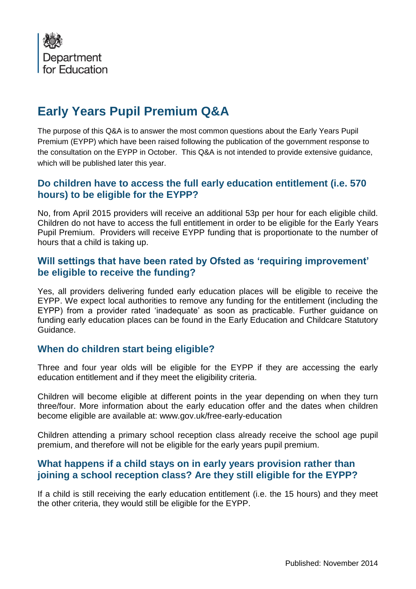

# **Early Years Pupil Premium Q&A**

The purpose of this Q&A is to answer the most common questions about the Early Years Pupil Premium (EYPP) which have been raised following the publication of the government response to the consultation on the EYPP in October. This Q&A is not intended to provide extensive guidance, which will be published later this year.

#### **Do children have to access the full early education entitlement (i.e. 570 hours) to be eligible for the EYPP?**

No, from April 2015 providers will receive an additional 53p per hour for each eligible child. Children do not have to access the full entitlement in order to be eligible for the Early Years Pupil Premium. Providers will receive EYPP funding that is proportionate to the number of hours that a child is taking up.

## **Will settings that have been rated by Ofsted as 'requiring improvement' be eligible to receive the funding?**

Yes, all providers delivering funded early education places will be eligible to receive the EYPP. We expect local authorities to remove any funding for the entitlement (including the EYPP) from a provider rated 'inadequate' as soon as practicable. Further guidance on funding early education places can be found in the Early Education and Childcare Statutory Guidance.

#### **When do children start being eligible?**

Three and four year olds will be eligible for the EYPP if they are accessing the early education entitlement and if they meet the eligibility criteria.

Children will become eligible at different points in the year depending on when they turn three/four. More information about the early education offer and the dates when children become eligible are available at: www.gov.uk/free-early-education

Children attending a primary school reception class already receive the school age pupil premium, and therefore will not be eligible for the early years pupil premium.

#### **What happens if a child stays on in early years provision rather than joining a school reception class? Are they still eligible for the EYPP?**

If a child is still receiving the early education entitlement (i.e. the 15 hours) and they meet the other criteria, they would still be eligible for the EYPP.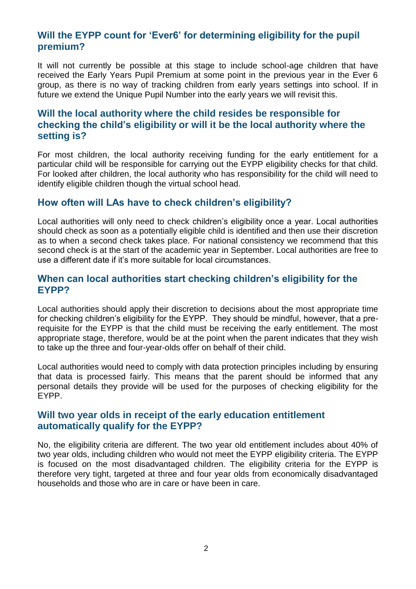# **Will the EYPP count for 'Ever6' for determining eligibility for the pupil premium?**

It will not currently be possible at this stage to include school-age children that have received the Early Years Pupil Premium at some point in the previous year in the Ever 6 group, as there is no way of tracking children from early years settings into school. If in future we extend the Unique Pupil Number into the early years we will revisit this.

## **Will the local authority where the child resides be responsible for checking the child's eligibility or will it be the local authority where the setting is?**

For most children, the local authority receiving funding for the early entitlement for a particular child will be responsible for carrying out the EYPP eligibility checks for that child. For looked after children, the local authority who has responsibility for the child will need to identify eligible children though the virtual school head.

#### **How often will LAs have to check children's eligibility?**

Local authorities will only need to check children's eligibility once a year. Local authorities should check as soon as a potentially eligible child is identified and then use their discretion as to when a second check takes place. For national consistency we recommend that this second check is at the start of the academic year in September. Local authorities are free to use a different date if it's more suitable for local circumstances.

#### **When can local authorities start checking children's eligibility for the EYPP?**

Local authorities should apply their discretion to decisions about the most appropriate time for checking children's eligibility for the EYPP. They should be mindful, however, that a prerequisite for the EYPP is that the child must be receiving the early entitlement. The most appropriate stage, therefore, would be at the point when the parent indicates that they wish to take up the three and four-year-olds offer on behalf of their child.

Local authorities would need to comply with data protection principles including by ensuring that data is processed fairly. This means that the parent should be informed that any personal details they provide will be used for the purposes of checking eligibility for the EYPP.

#### **Will two year olds in receipt of the early education entitlement automatically qualify for the EYPP?**

No, the eligibility criteria are different. The two year old entitlement includes about 40% of two year olds, including children who would not meet the EYPP eligibility criteria. The EYPP is focused on the most disadvantaged children. The eligibility criteria for the EYPP is therefore very tight, targeted at three and four year olds from economically disadvantaged households and those who are in care or have been in care.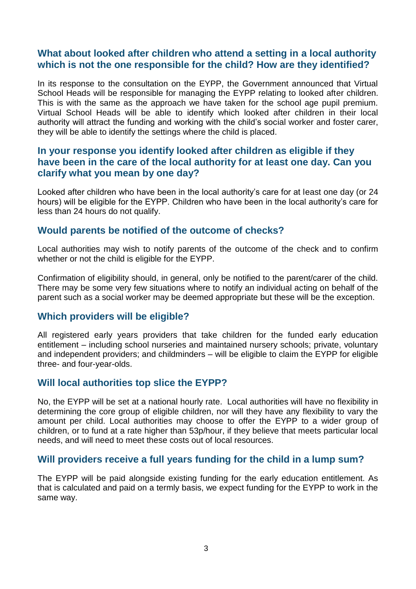#### **What about looked after children who attend a setting in a local authority which is not the one responsible for the child? How are they identified?**

In its response to the consultation on the EYPP, the Government announced that Virtual School Heads will be responsible for managing the EYPP relating to looked after children. This is with the same as the approach we have taken for the school age pupil premium. Virtual School Heads will be able to identify which looked after children in their local authority will attract the funding and working with the child's social worker and foster carer, they will be able to identify the settings where the child is placed.

## **In your response you identify looked after children as eligible if they have been in the care of the local authority for at least one day. Can you clarify what you mean by one day?**

Looked after children who have been in the local authority's care for at least one day (or 24 hours) will be eligible for the EYPP. Children who have been in the local authority's care for less than 24 hours do not qualify.

#### **Would parents be notified of the outcome of checks?**

Local authorities may wish to notify parents of the outcome of the check and to confirm whether or not the child is eligible for the EYPP.

Confirmation of eligibility should, in general, only be notified to the parent/carer of the child. There may be some very few situations where to notify an individual acting on behalf of the parent such as a social worker may be deemed appropriate but these will be the exception.

#### **Which providers will be eligible?**

All registered early years providers that take children for the funded early education entitlement – including school nurseries and maintained nursery schools; private, voluntary and independent providers; and childminders – will be eligible to claim the EYPP for eligible three- and four-year-olds.

#### **Will local authorities top slice the EYPP?**

No, the EYPP will be set at a national hourly rate. Local authorities will have no flexibility in determining the core group of eligible children, nor will they have any flexibility to vary the amount per child. Local authorities may choose to offer the EYPP to a wider group of children, or to fund at a rate higher than 53p/hour, if they believe that meets particular local needs, and will need to meet these costs out of local resources.

#### **Will providers receive a full years funding for the child in a lump sum?**

The EYPP will be paid alongside existing funding for the early education entitlement. As that is calculated and paid on a termly basis, we expect funding for the EYPP to work in the same way.